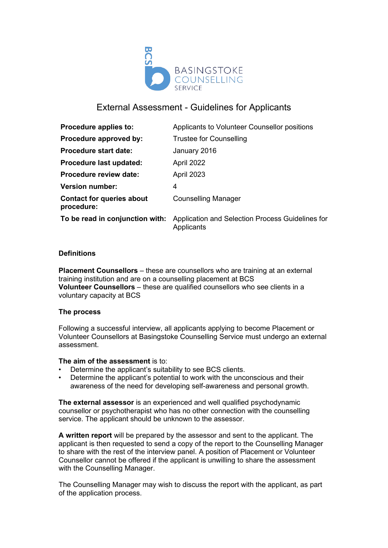

# External Assessment - Guidelines for Applicants

| Applicants to Volunteer Counsellor positions                   |
|----------------------------------------------------------------|
| <b>Trustee for Counselling</b>                                 |
| January 2016                                                   |
| April 2022                                                     |
| April 2023                                                     |
| 4                                                              |
| <b>Counselling Manager</b>                                     |
| Application and Selection Process Guidelines for<br>Applicants |
|                                                                |

## **Definitions**

**Placement Counsellors** – these are counsellors who are training at an external training institution and are on a counselling placement at BCS **Volunteer Counsellors** – these are qualified counsellors who see clients in a voluntary capacity at BCS

## **The process**

Following a successful interview, all applicants applying to become Placement or Volunteer Counsellors at Basingstoke Counselling Service must undergo an external assessment.

## **The aim of the assessment** is to:

- Determine the applicant's suitability to see BCS clients.
- Determine the applicant's potential to work with the unconscious and their awareness of the need for developing self-awareness and personal growth.

**The external assessor** is an experienced and well qualified psychodynamic counsellor or psychotherapist who has no other connection with the counselling service. The applicant should be unknown to the assessor.

**A written report** will be prepared by the assessor and sent to the applicant. The applicant is then requested to send a copy of the report to the Counselling Manager to share with the rest of the interview panel. A position of Placement or Volunteer Counsellor cannot be offered if the applicant is unwilling to share the assessment with the Counselling Manager.

The Counselling Manager may wish to discuss the report with the applicant, as part of the application process.